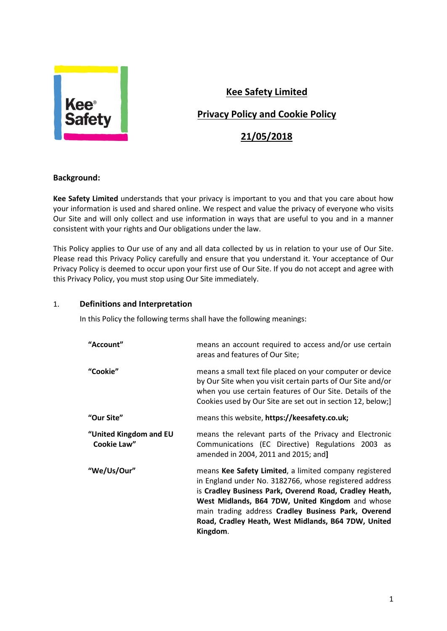

# **Kee Safety Limited**

# **Privacy Policy and Cookie Policy**

# **21/05/2018**

### **Background:**

**Kee Safety Limited** understands that your privacy is important to you and that you care about how your information is used and shared online. We respect and value the privacy of everyone who visits Our Site and will only collect and use information in ways that are useful to you and in a manner consistent with your rights and Our obligations under the law.

This Policy applies to Our use of any and all data collected by us in relation to your use of Our Site. Please read this Privacy Policy carefully and ensure that you understand it. Your acceptance of Our Privacy Policy is deemed to occur upon your first use of Our Site. If you do not accept and agree with this Privacy Policy, you must stop using Our Site immediately.

### 1. **Definitions and Interpretation**

In this Policy the following terms shall have the following meanings:

| "Account"                             | means an account required to access and/or use certain<br>areas and features of Our Site;                                                                                                                                                                                                                                                                |  |
|---------------------------------------|----------------------------------------------------------------------------------------------------------------------------------------------------------------------------------------------------------------------------------------------------------------------------------------------------------------------------------------------------------|--|
| "Cookie"                              | means a small text file placed on your computer or device<br>by Our Site when you visit certain parts of Our Site and/or<br>when you use certain features of Our Site. Details of the<br>Cookies used by Our Site are set out in section 12, below;]                                                                                                     |  |
| "Our Site"                            | means this website, https://keesafety.co.uk;                                                                                                                                                                                                                                                                                                             |  |
| "United Kingdom and EU<br>Cookie Law" | means the relevant parts of the Privacy and Electronic<br>Communications (EC Directive) Regulations 2003 as<br>amended in 2004, 2011 and 2015; and]                                                                                                                                                                                                      |  |
| "We/Us/Our"                           | means Kee Safety Limited, a limited company registered<br>in England under No. 3182766, whose registered address<br>is Cradley Business Park, Overend Road, Cradley Heath,<br>West Midlands, B64 7DW, United Kingdom and whose<br>main trading address Cradley Business Park, Overend<br>Road, Cradley Heath, West Midlands, B64 7DW, United<br>Kingdom. |  |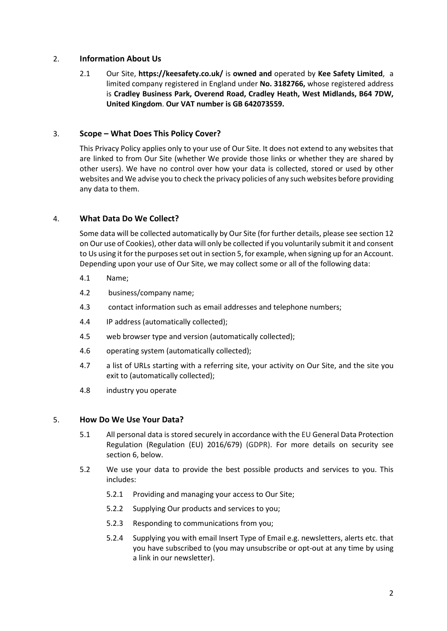#### 2. **Information About Us**

2.1 Our Site, **https://keesafety.co.uk/** is **owned and** operated by **Kee Safety Limited**, a limited company registered in England under **No. 3182766,** whose registered address is **Cradley Business Park, Overend Road, Cradley Heath, West Midlands, B64 7DW, United Kingdom**. **Our VAT number is GB 642073559.**

#### 3. **Scope – What Does This Policy Cover?**

This Privacy Policy applies only to your use of Our Site. It does not extend to any websites that are linked to from Our Site (whether We provide those links or whether they are shared by other users). We have no control over how your data is collected, stored or used by other websites and We advise you to check the privacy policies of any such websites before providing any data to them.

#### 4. **What Data Do We Collect?**

Some data will be collected automatically by Our Site (for further details, please see section 12 on Our use of Cookies), other data will only be collected if you voluntarily submit it and consent to Us using it for the purposes set out in section 5, for example, when signing up for an Account. Depending upon your use of Our Site, we may collect some or all of the following data:

- 4.1 Name;
- 4.2 business/company name;
- 4.3 contact information such as email addresses and telephone numbers;
- 4.4 IP address (automatically collected);
- 4.5 web browser type and version (automatically collected);
- 4.6 operating system (automatically collected);
- 4.7 a list of URLs starting with a referring site, your activity on Our Site, and the site you exit to (automatically collected);
- 4.8 industry you operate

#### 5. **How Do We Use Your Data?**

- 5.1 All personal data is stored securely in accordance with the E[U General Data Protection](https://uk.practicallaw.thomsonreuters.com/PLCCoreDocument/ViewDocument.html?navId=AACF20BB9BED7DE45F3549371482B6BD&comp=pluk&DocumentGuid=Ie887bae554de11e698dc8b09b4f043e0&ViewType=FullText&HasDraftingNotes=False&ResearchReportViewMode=False&SessionScopeIsValid=True&IsCourtWireDocument=False&IsSuperPrivateDocument=False&IsPrivateDocument=False&ClientMatter=Cobalt.Website.Platform.Web.UserData.ClientMatter&AuthenticationStrength=5&IsMedLitStubDocument=False&IsOutOfPlanDocumentViewClicked=False&TransitionType=Default&ContextData=(sc.Default)&BillingContextData=(sc.Default))  [Regulation \(Regulation \(EU\) 2016/679\)](https://uk.practicallaw.thomsonreuters.com/PLCCoreDocument/ViewDocument.html?navId=AACF20BB9BED7DE45F3549371482B6BD&comp=pluk&DocumentGuid=Ie887bae554de11e698dc8b09b4f043e0&ViewType=FullText&HasDraftingNotes=False&ResearchReportViewMode=False&SessionScopeIsValid=True&IsCourtWireDocument=False&IsSuperPrivateDocument=False&IsPrivateDocument=False&ClientMatter=Cobalt.Website.Platform.Web.UserData.ClientMatter&AuthenticationStrength=5&IsMedLitStubDocument=False&IsOutOfPlanDocumentViewClicked=False&TransitionType=Default&ContextData=(sc.Default)&BillingContextData=(sc.Default)) (GDPR). For more details on security see section 6, below.
- 5.2 We use your data to provide the best possible products and services to you. This includes:
	- 5.2.1 Providing and managing your access to Our Site;
	- 5.2.2 Supplying Our products and services to you;
	- 5.2.3 Responding to communications from you;
	- 5.2.4 Supplying you with email Insert Type of Email e.g. newsletters, alerts etc. that you have subscribed to (you may unsubscribe or opt-out at any time by using a link in our newsletter).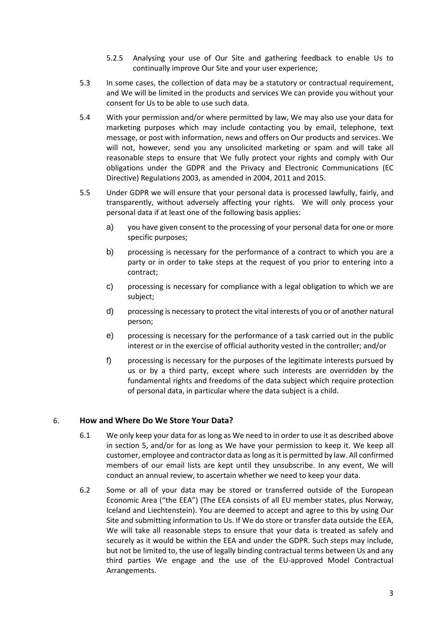- 5.2.5 Analysing your use of Our Site and gathering feedback to enable Us to continually improve Our Site and your user experience;
- 5.3 In some cases, the collection of data may be a statutory or contractual requirement, and We will be limited in the products and services We can provide you without your consent for Us to be able to use such data.
- 5.4 With your permission and/or where permitted by law, We may also use your data for marketing purposes which may include contacting you by email, telephone, text message, or post with information, news and offers on Our products and services. We will not, however, send you any unsolicited marketing or spam and will take all reasonable steps to ensure that We fully protect your rights and comply with Our obligations under the GDPR and the Privacy and Electronic Communications (EC Directive) Regulations 2003, as amended in 2004, 2011 and 2015.
- 5.5 Under GDPR we will ensure that your personal data is processed lawfully, fairly, and transparently, without adversely affecting your rights. We will only process your personal data if at least one of the following basis applies:
	- a) you have given consent to the processing of your personal data for one or more specific purposes;
	- b) processing is necessary for the performance of a contract to which you are a party or in order to take steps at the request of you prior to entering into a contract;
	- c) processing is necessary for compliance with a legal obligation to which we are subject;
	- d) processing is necessary to protect the vital interests of you or of another natural person;
	- e) processing is necessary for the performance of a task carried out in the public interest or in the exercise of official authority vested in the controller; and/or
	- f) processing is necessary for the purposes of the legitimate interests pursued by us or by a third party, except where such interests are overridden by the fundamental rights and freedoms of the data subject which require protection of personal data, in particular where the data subject is a child.

## 6. **How and Where Do We Store Your Data?**

- 6.1 We only keep your data for as long as We need to in order to use it as described above in section 5, and/or for as long as We have your permission to keep it. We keep all customer, employee and contractor data as long as it is permitted by law. All confirmed members of our email lists are kept until they unsubscribe. In any event, We will conduct an annual review, to ascertain whether we need to keep your data.
- 6.2 Some or all of your data may be stored or transferred outside of the European Economic Area ("the EEA") (The EEA consists of all EU member states, plus Norway, Iceland and Liechtenstein). You are deemed to accept and agree to this by using Our Site and submitting information to Us. If We do store or transfer data outside the EEA, We will take all reasonable steps to ensure that your data is treated as safely and securely as it would be within the EEA and under the GDPR. Such steps may include, but not be limited to, the use of legally binding contractual terms between Us and any third parties We engage and the use of the EU-approved Model Contractual Arrangements.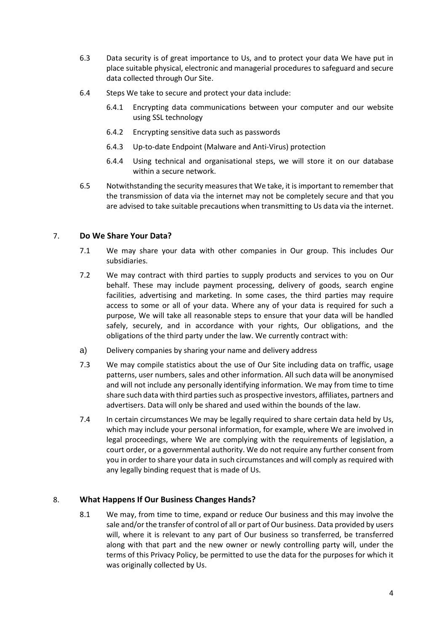- 6.3 Data security is of great importance to Us, and to protect your data We have put in place suitable physical, electronic and managerial procedures to safeguard and secure data collected through Our Site.
- 6.4 Steps We take to secure and protect your data include:
	- 6.4.1 Encrypting data communications between your computer and our website using SSL technology
	- 6.4.2 Encrypting sensitive data such as passwords
	- 6.4.3 Up-to-date Endpoint (Malware and Anti-Virus) protection
	- 6.4.4 Using technical and organisational steps, we will store it on our database within a secure network.
- 6.5 Notwithstanding the security measures that We take, it is important to remember that the transmission of data via the internet may not be completely secure and that you are advised to take suitable precautions when transmitting to Us data via the internet.

#### 7. **Do We Share Your Data?**

- 7.1 We may share your data with other companies in Our group. This includes Our subsidiaries.
- 7.2 We may contract with third parties to supply products and services to you on Our behalf. These may include payment processing, delivery of goods, search engine facilities, advertising and marketing. In some cases, the third parties may require access to some or all of your data. Where any of your data is required for such a purpose, We will take all reasonable steps to ensure that your data will be handled safely, securely, and in accordance with your rights, Our obligations, and the obligations of the third party under the law. We currently contract with:
- a) Delivery companies by sharing your name and delivery address
- 7.3 We may compile statistics about the use of Our Site including data on traffic, usage patterns, user numbers, sales and other information. All such data will be anonymised and will not include any personally identifying information. We may from time to time share such data with third parties such as prospective investors, affiliates, partners and advertisers. Data will only be shared and used within the bounds of the law.
- 7.4 In certain circumstances We may be legally required to share certain data held by Us, which may include your personal information, for example, where We are involved in legal proceedings, where We are complying with the requirements of legislation, a court order, or a governmental authority. We do not require any further consent from you in order to share your data in such circumstances and will comply as required with any legally binding request that is made of Us.

#### 8. **What Happens If Our Business Changes Hands?**

8.1 We may, from time to time, expand or reduce Our business and this may involve the sale and/or the transfer of control of all or part of Our business. Data provided by users will, where it is relevant to any part of Our business so transferred, be transferred along with that part and the new owner or newly controlling party will, under the terms of this Privacy Policy, be permitted to use the data for the purposes for which it was originally collected by Us.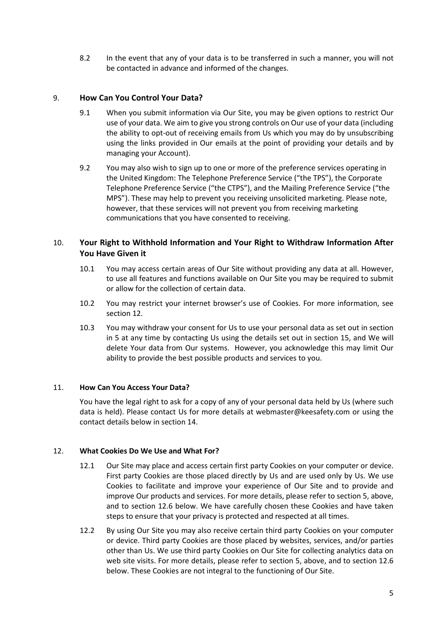8.2 In the event that any of your data is to be transferred in such a manner, you will not be contacted in advance and informed of the changes.

#### 9. **How Can You Control Your Data?**

- 9.1 When you submit information via Our Site, you may be given options to restrict Our use of your data. We aim to give you strong controls on Our use of your data (including the ability to opt-out of receiving emails from Us which you may do by unsubscribing using the links provided in Our emails at the point of providing your details and by managing your Account).
- 9.2 You may also wish to sign up to one or more of the preference services operating in the United Kingdom: The Telephone Preference Service ("the TPS"), the Corporate Telephone Preference Service ("the CTPS"), and the Mailing Preference Service ("the MPS"). These may help to prevent you receiving unsolicited marketing. Please note, however, that these services will not prevent you from receiving marketing communications that you have consented to receiving.

## 10. **Your Right to Withhold Information and Your Right to Withdraw Information After You Have Given it**

- 10.1 You may access certain areas of Our Site without providing any data at all. However, to use all features and functions available on Our Site you may be required to submit or allow for the collection of certain data.
- 10.2 You may restrict your internet browser's use of Cookies. For more information, see section 12.
- 10.3 You may withdraw your consent for Us to use your personal data as set out in section in 5 at any time by contacting Us using the details set out in section 15, and We will delete Your data from Our systems. However, you acknowledge this may limit Our ability to provide the best possible products and services to you.

#### 11. **How Can You Access Your Data?**

You have the legal right to ask for a copy of any of your personal data held by Us (where such data is held). Please contact Us for more details at webmaster@keesafety.com or using the contact details below in section 14.

#### 12. **What Cookies Do We Use and What For?**

- 12.1 Our Site may place and access certain first party Cookies on your computer or device. First party Cookies are those placed directly by Us and are used only by Us. We use Cookies to facilitate and improve your experience of Our Site and to provide and improve Our products and services. For more details, please refer to section 5, above, and to section 12.6 below. We have carefully chosen these Cookies and have taken steps to ensure that your privacy is protected and respected at all times.
- 12.2 By using Our Site you may also receive certain third party Cookies on your computer or device. Third party Cookies are those placed by websites, services, and/or parties other than Us. We use third party Cookies on Our Site for collecting analytics data on web site visits. For more details, please refer to section 5, above, and to section 12.6 below. These Cookies are not integral to the functioning of Our Site.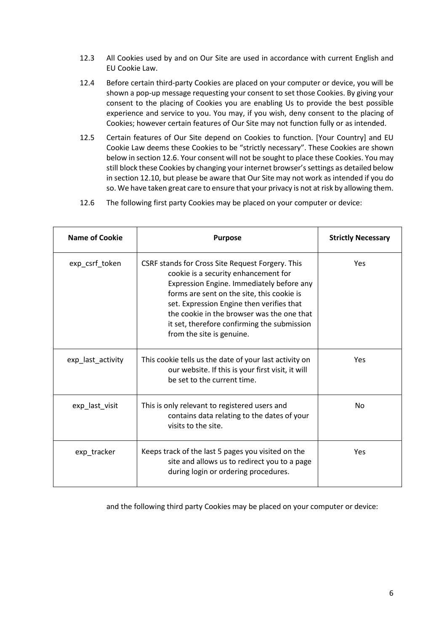- 12.3 All Cookies used by and on Our Site are used in accordance with current English and EU Cookie Law.
- 12.4 Before certain third-party Cookies are placed on your computer or device, you will be shown a pop-up message requesting your consent to set those Cookies. By giving your consent to the placing of Cookies you are enabling Us to provide the best possible experience and service to you. You may, if you wish, deny consent to the placing of Cookies; however certain features of Our Site may not function fully or as intended.
- 12.5 Certain features of Our Site depend on Cookies to function. [Your Country] and EU Cookie Law deems these Cookies to be "strictly necessary". These Cookies are shown below in section 12.6. Your consent will not be sought to place these Cookies. You may still block these Cookies by changing your internet browser's settings as detailed below in section 12.10, but please be aware that Our Site may not work as intended if you do so. We have taken great care to ensure that your privacy is not at risk by allowing them.
- 12.6 The following first party Cookies may be placed on your computer or device:

| <b>Name of Cookie</b> | <b>Purpose</b>                                                                                                                                                                                                                                                                                                                                             | <b>Strictly Necessary</b> |
|-----------------------|------------------------------------------------------------------------------------------------------------------------------------------------------------------------------------------------------------------------------------------------------------------------------------------------------------------------------------------------------------|---------------------------|
| exp_csrf_token        | CSRF stands for Cross Site Request Forgery. This<br>cookie is a security enhancement for<br>Expression Engine. Immediately before any<br>forms are sent on the site, this cookie is<br>set. Expression Engine then verifies that<br>the cookie in the browser was the one that<br>it set, therefore confirming the submission<br>from the site is genuine. | Yes                       |
| exp_last_activity     | This cookie tells us the date of your last activity on<br>our website. If this is your first visit, it will<br>be set to the current time.                                                                                                                                                                                                                 | Yes                       |
| exp_last_visit        | This is only relevant to registered users and<br>contains data relating to the dates of your<br>visits to the site.                                                                                                                                                                                                                                        | No.                       |
| exp_tracker           | Keeps track of the last 5 pages you visited on the<br>site and allows us to redirect you to a page<br>during login or ordering procedures.                                                                                                                                                                                                                 | Yes                       |

and the following third party Cookies may be placed on your computer or device: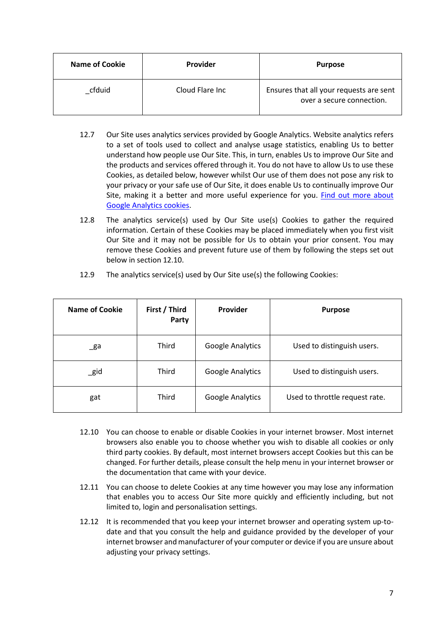| Name of Cookie | <b>Provider</b>  | <b>Purpose</b>                                                       |
|----------------|------------------|----------------------------------------------------------------------|
| cfduid         | Cloud Flare Inc. | Ensures that all your requests are sent<br>over a secure connection. |

- 12.7 Our Site uses analytics services provided by Google Analytics. Website analytics refers to a set of tools used to collect and analyse usage statistics, enabling Us to better understand how people use Our Site. This, in turn, enables Us to improve Our Site and the products and services offered through it. You do not have to allow Us to use these Cookies, as detailed below, however whilst Our use of them does not pose any risk to your privacy or your safe use of Our Site, it does enable Us to continually improve Our Site, making it a better and more useful experience for you. [Find out more about](https://developers.google.com/analytics/devguides/collection/analyticsjs/cookie-usage)  [Google Analytics cookies.](https://developers.google.com/analytics/devguides/collection/analyticsjs/cookie-usage)
- 12.8 The analytics service(s) used by Our Site use(s) Cookies to gather the required information. Certain of these Cookies may be placed immediately when you first visit Our Site and it may not be possible for Us to obtain your prior consent. You may remove these Cookies and prevent future use of them by following the steps set out below in section 12.10.

| <b>Name of Cookie</b> | First / Third<br>Party | <b>Provider</b>         | <b>Purpose</b>                 |
|-----------------------|------------------------|-------------------------|--------------------------------|
| $\mathsf{g}$ a        | Third                  | <b>Google Analytics</b> | Used to distinguish users.     |
| $\_$ gid              | Third                  | Google Analytics        | Used to distinguish users.     |
| gat                   | Third                  | <b>Google Analytics</b> | Used to throttle request rate. |

12.9 The analytics service(s) used by Our Site use(s) the following Cookies:

- 12.10 You can choose to enable or disable Cookies in your internet browser. Most internet browsers also enable you to choose whether you wish to disable all cookies or only third party cookies. By default, most internet browsers accept Cookies but this can be changed. For further details, please consult the help menu in your internet browser or the documentation that came with your device.
- 12.11 You can choose to delete Cookies at any time however you may lose any information that enables you to access Our Site more quickly and efficiently including, but not limited to, login and personalisation settings.
- 12.12 It is recommended that you keep your internet browser and operating system up-todate and that you consult the help and guidance provided by the developer of your internet browser and manufacturer of your computer or device if you are unsure about adjusting your privacy settings.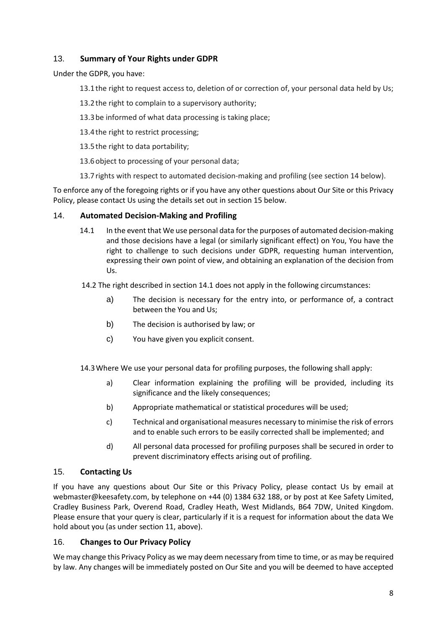## 13. **Summary of Your Rights under GDPR**

Under the GDPR, you have:

- 13.1the right to request access to, deletion of or correction of, your personal data held by Us;
- 13.2the right to complain to a supervisory authority;
- 13.3be informed of what data processing is taking place;
- 13.4the right to restrict processing;
- 13.5the right to data portability;
- 13.6object to processing of your personal data;
- 13.7rights with respect to automated decision-making and profiling (see section 14 below).

To enforce any of the foregoing rights or if you have any other questions about Our Site or this Privacy Policy, please contact Us using the details set out in section 15 below.

#### 14. **Automated Decision-Making and Profiling**

- 14.1 In the event that We use personal data for the purposes of automated decision-making and those decisions have a legal (or similarly significant effect) on You, You have the right to challenge to such decisions under GDPR, requesting human intervention, expressing their own point of view, and obtaining an explanation of the decision from Us.
- 14.2 The right described in section 14.1 does not apply in the following circumstances:
	- a) The decision is necessary for the entry into, or performance of, a contract between the You and Us;
	- b) The decision is authorised by law; or
	- c) You have given you explicit consent.

14.3Where We use your personal data for profiling purposes, the following shall apply:

- a) Clear information explaining the profiling will be provided, including its significance and the likely consequences;
- b) Appropriate mathematical or statistical procedures will be used;
- c) Technical and organisational measures necessary to minimise the risk of errors and to enable such errors to be easily corrected shall be implemented; and
- d) All personal data processed for profiling purposes shall be secured in order to prevent discriminatory effects arising out of profiling.

#### 15. **Contacting Us**

If you have any questions about Our Site or this Privacy Policy, please contact Us by email at webmaster@keesafety.com, by telephone on +44 (0) 1384 632 188, or by post at Kee Safety Limited, Cradley Business Park, Overend Road, Cradley Heath, West Midlands, B64 7DW, United Kingdom. Please ensure that your query is clear, particularly if it is a request for information about the data We hold about you (as under section 11, above).

#### 16. **Changes to Our Privacy Policy**

We may change this Privacy Policy as we may deem necessary from time to time, or as may be required by law. Any changes will be immediately posted on Our Site and you will be deemed to have accepted